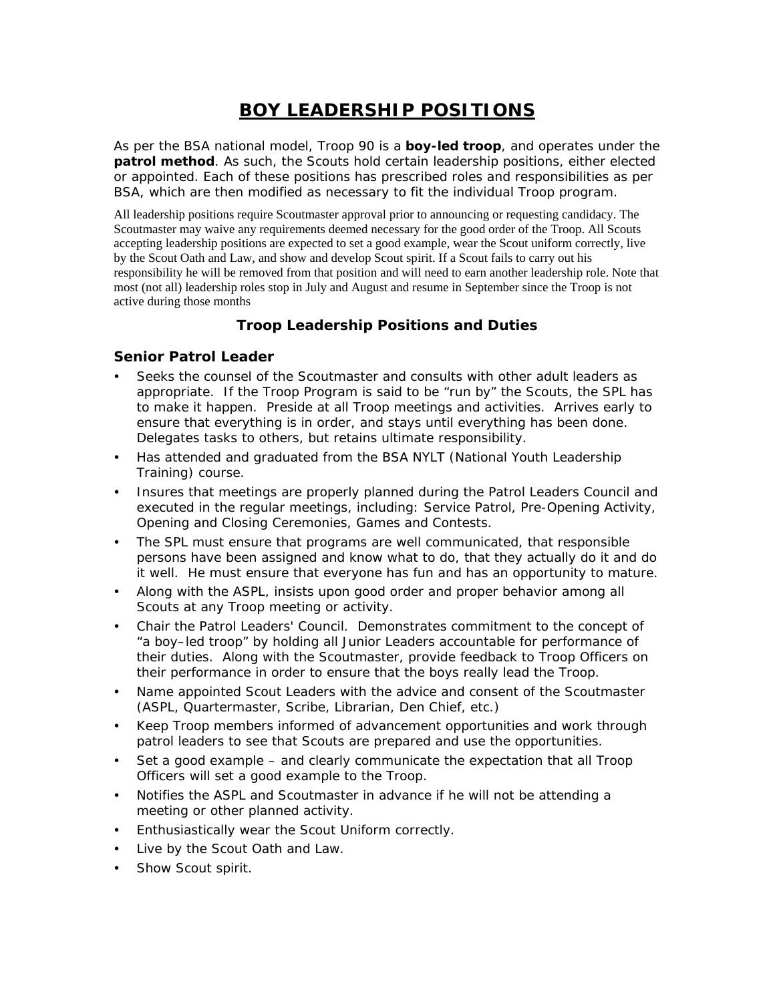# **BOY LEADERSHIP POSITIONS**

As per the BSA national model, Troop 90 is a *boy-led troop*, and operates under the *patrol method*. As such, the Scouts hold certain leadership positions, either elected or appointed. Each of these positions has prescribed roles and responsibilities as per BSA, which are then modified as necessary to fit the individual Troop program.

All leadership positions require Scoutmaster approval prior to announcing or requesting candidacy. The Scoutmaster may waive any requirements deemed necessary for the good order of the Troop. All Scouts accepting leadership positions are expected to set a good example, wear the Scout uniform correctly, live by the Scout Oath and Law, and show and develop Scout spirit. If a Scout fails to carry out his responsibility he will be removed from that position and will need to earn another leadership role. Note that most (not all) leadership roles stop in July and August and resume in September since the Troop is not active during those months

# **Troop Leadership Positions and Duties**

#### **Senior Patrol Leader**

- Seeks the counsel of the Scoutmaster and consults with other adult leaders as appropriate. If the Troop Program is said to be "run by" the Scouts, the SPL has to make it happen. Preside at all Troop meetings and activities. Arrives early to ensure that everything is in order, and stays until everything has been done. Delegates tasks to others, but retains ultimate responsibility.
- Has attended and graduated from the BSA NYLT (National Youth Leadership Training) course.
- Insures that meetings are properly planned during the Patrol Leaders Council and executed in the regular meetings, including: Service Patrol, Pre-Opening Activity, Opening and Closing Ceremonies, Games and Contests.
- The SPL must ensure that programs are well communicated, that responsible persons have been assigned and know what to do, that they actually do it and do it well. He must ensure that everyone has fun and has an opportunity to mature.
- Along with the ASPL, insists upon good order and proper behavior among all Scouts at any Troop meeting or activity.
- Chair the Patrol Leaders' Council. Demonstrates commitment to the concept of "a boy–led troop" by holding all Junior Leaders accountable for performance of their duties. Along with the Scoutmaster, provide feedback to Troop Officers on their performance in order to ensure that the boys really lead the Troop.
- Name appointed Scout Leaders with the advice and consent of the Scoutmaster (ASPL, Quartermaster, Scribe, Librarian, Den Chief, etc.)
- Keep Troop members informed of advancement opportunities and work through patrol leaders to see that Scouts are prepared and use the opportunities.
- Set a good example and clearly communicate the expectation that all Troop Officers will set a good example to the Troop.
- Notifies the ASPL and Scoutmaster in advance if he will not be attending a meeting or other planned activity.
- Enthusiastically wear the Scout Uniform correctly.
- Live by the Scout Oath and Law.
- Show Scout spirit.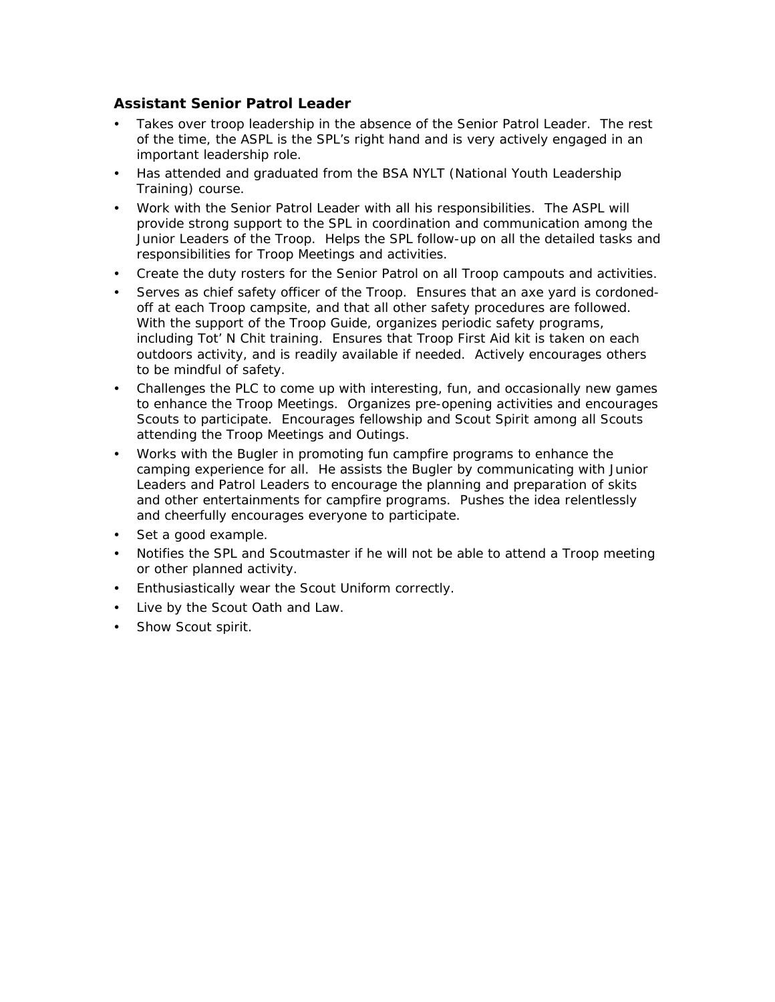#### **Assistant Senior Patrol Leader**

- Takes over troop leadership in the absence of the Senior Patrol Leader. The rest of the time, the ASPL is the SPL's right hand and is very actively engaged in an important leadership role.
- Has attended and graduated from the BSA NYLT (National Youth Leadership Training) course.
- Work with the Senior Patrol Leader with all his responsibilities. The ASPL will provide strong support to the SPL in coordination and communication among the Junior Leaders of the Troop. Helps the SPL follow-up on all the detailed tasks and responsibilities for Troop Meetings and activities.
- Create the duty rosters for the Senior Patrol on all Troop campouts and activities.
- Serves as chief safety officer of the Troop. Ensures that an axe yard is cordonedoff at each Troop campsite, and that all other safety procedures are followed. With the support of the Troop Guide, organizes periodic safety programs, including Tot' N Chit training. Ensures that Troop First Aid kit is taken on each outdoors activity, and is readily available if needed. Actively encourages others to be mindful of safety.
- Challenges the PLC to come up with interesting, fun, and occasionally new games to enhance the Troop Meetings. Organizes pre-opening activities and encourages Scouts to participate. Encourages fellowship and Scout Spirit among all Scouts attending the Troop Meetings and Outings.
- Works with the Bugler in promoting fun campfire programs to enhance the camping experience for all. He assists the Bugler by communicating with Junior Leaders and Patrol Leaders to encourage the planning and preparation of skits and other entertainments for campfire programs. Pushes the idea relentlessly and cheerfully encourages everyone to participate.
- Set a good example.
- Notifies the SPL and Scoutmaster if he will not be able to attend a Troop meeting or other planned activity.
- Enthusiastically wear the Scout Uniform correctly.
- Live by the Scout Oath and Law.
- Show Scout spirit.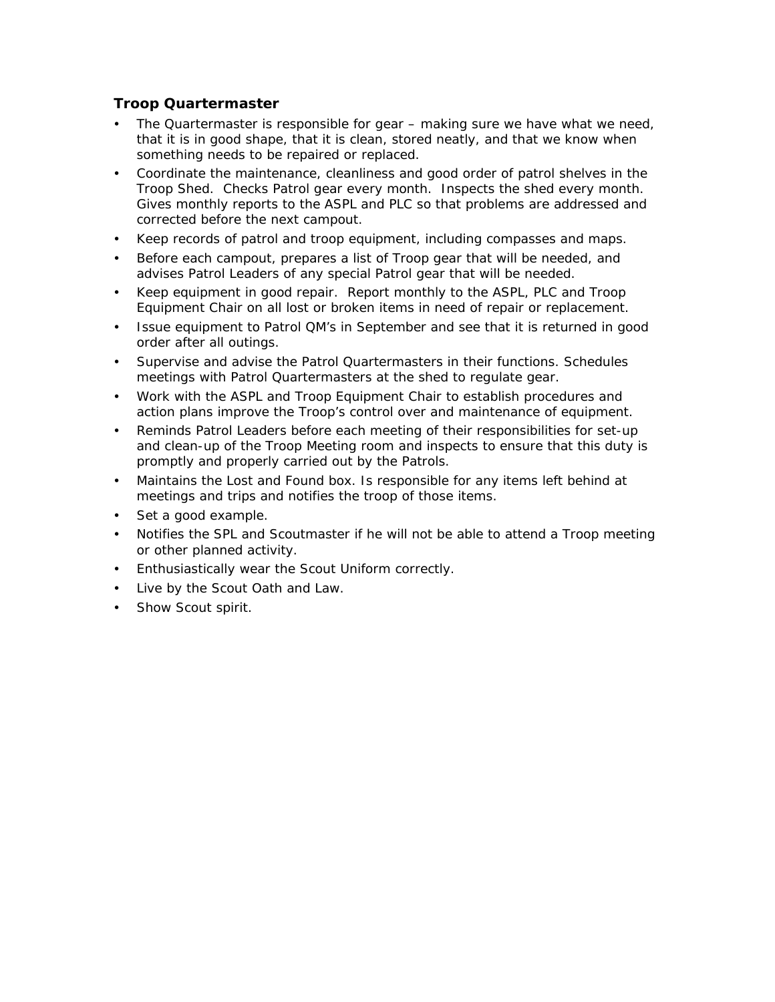#### **Troop Quartermaster**

- The Quartermaster is responsible for gear making sure we have what we need, that it is in good shape, that it is clean, stored neatly, and that we know when something needs to be repaired or replaced.
- Coordinate the maintenance, cleanliness and good order of patrol shelves in the Troop Shed. Checks Patrol gear every month. Inspects the shed every month. Gives monthly reports to the ASPL and PLC so that problems are addressed and corrected before the next campout.
- Keep records of patrol and troop equipment, including compasses and maps.
- Before each campout, prepares a list of Troop gear that will be needed, and advises Patrol Leaders of any special Patrol gear that will be needed.
- Keep equipment in good repair. Report monthly to the ASPL, PLC and Troop Equipment Chair on all lost or broken items in need of repair or replacement.
- Issue equipment to Patrol QM's in September and see that it is returned in good order after all outings.
- Supervise and advise the Patrol Quartermasters in their functions. Schedules meetings with Patrol Quartermasters at the shed to regulate gear.
- Work with the ASPL and Troop Equipment Chair to establish procedures and action plans improve the Troop's control over and maintenance of equipment.
- Reminds Patrol Leaders before each meeting of their responsibilities for set-up and clean-up of the Troop Meeting room and inspects to ensure that this duty is promptly and properly carried out by the Patrols.
- Maintains the Lost and Found box. Is responsible for any items left behind at meetings and trips and notifies the troop of those items.
- Set a good example.
- Notifies the SPL and Scoutmaster if he will not be able to attend a Troop meeting or other planned activity.
- Enthusiastically wear the Scout Uniform correctly.
- Live by the Scout Oath and Law.
- Show Scout spirit.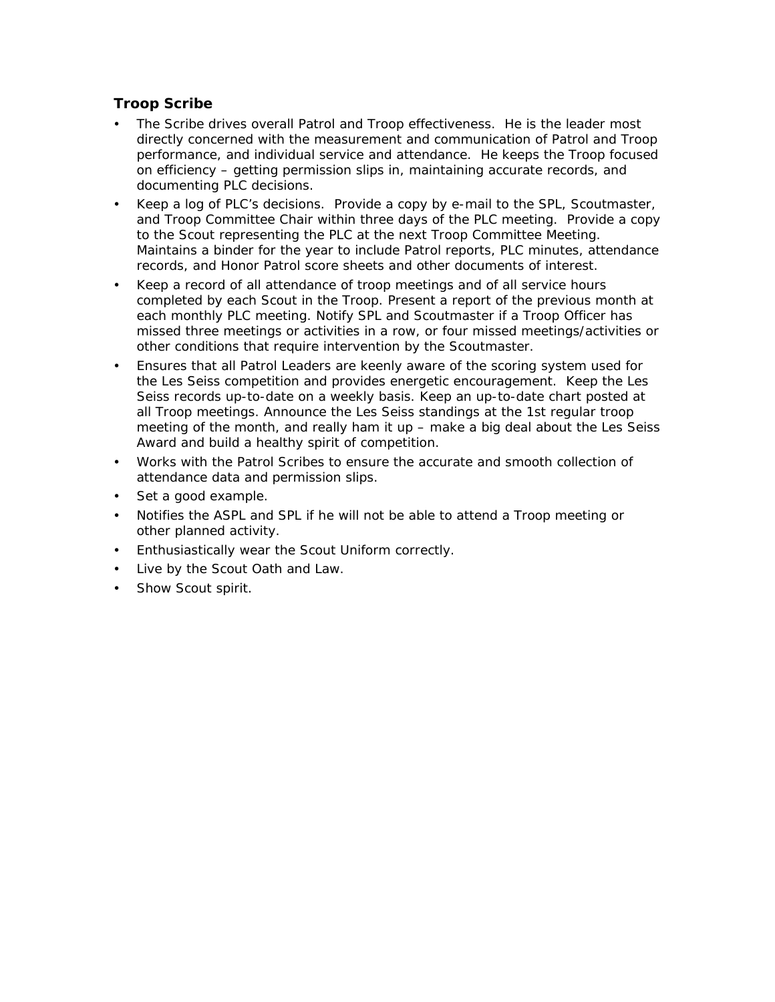#### **Troop Scribe**

- The Scribe drives overall Patrol and Troop effectiveness. He is the leader most directly concerned with the measurement and communication of Patrol and Troop performance, and individual service and attendance. He keeps the Troop focused on efficiency – getting permission slips in, maintaining accurate records, and documenting PLC decisions.
- Keep a log of PLC's decisions. Provide a copy by e-mail to the SPL, Scoutmaster, and Troop Committee Chair within three days of the PLC meeting. Provide a copy to the Scout representing the PLC at the next Troop Committee Meeting. Maintains a binder for the year to include Patrol reports, PLC minutes, attendance records, and Honor Patrol score sheets and other documents of interest.
- Keep a record of all attendance of troop meetings and of all service hours completed by each Scout in the Troop. Present a report of the previous month at each monthly PLC meeting. Notify SPL and Scoutmaster if a Troop Officer has missed three meetings or activities in a row, or four missed meetings/activities or other conditions that require intervention by the Scoutmaster.
- Ensures that all Patrol Leaders are keenly aware of the scoring system used for the Les Seiss competition and provides energetic encouragement. Keep the Les Seiss records up-to-date on a weekly basis. Keep an up-to-date chart posted at all Troop meetings. Announce the Les Seiss standings at the 1st regular troop meeting of the month, and really ham it up – make a big deal about the Les Seiss Award and build a healthy spirit of competition.
- Works with the Patrol Scribes to ensure the accurate and smooth collection of attendance data and permission slips.
- Set a good example.
- Notifies the ASPL and SPL if he will not be able to attend a Troop meeting or other planned activity.
- Enthusiastically wear the Scout Uniform correctly.
- Live by the Scout Oath and Law.
- Show Scout spirit.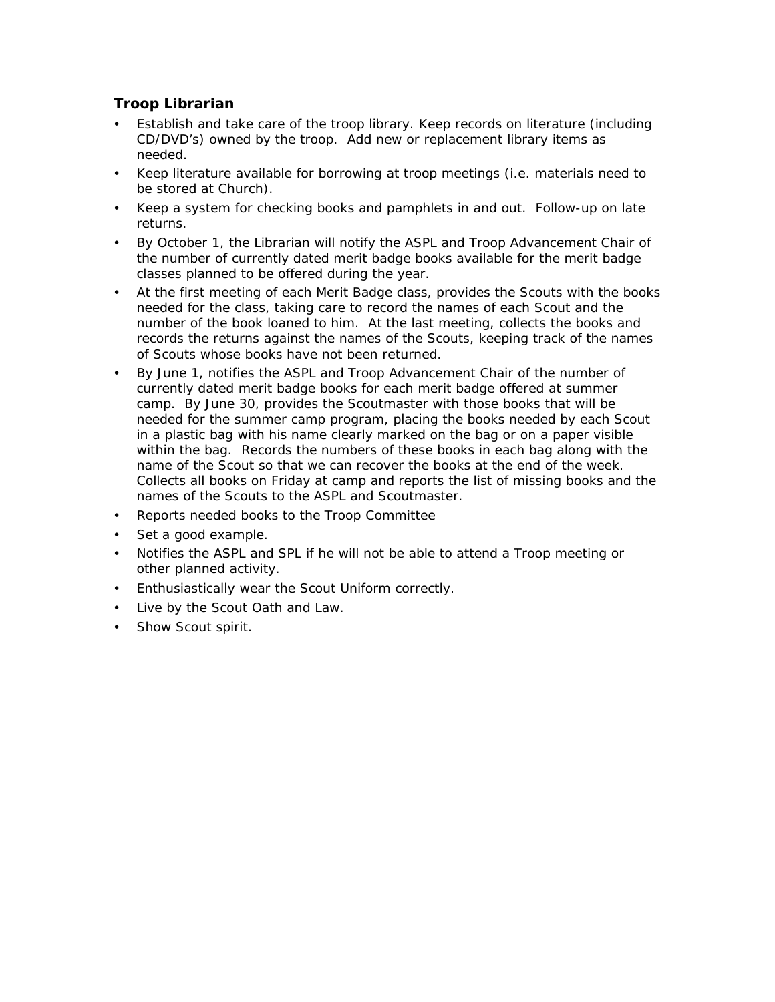## **Troop Librarian**

- Establish and take care of the troop library. Keep records on literature (including CD/DVD's) owned by the troop. Add new or replacement library items as needed.
- Keep literature available for borrowing at troop meetings (i.e. materials need to be stored at Church).
- Keep a system for checking books and pamphlets in and out. Follow-up on late returns.
- By October 1, the Librarian will notify the ASPL and Troop Advancement Chair of the number of currently dated merit badge books available for the merit badge classes planned to be offered during the year.
- At the first meeting of each Merit Badge class, provides the Scouts with the books needed for the class, taking care to record the names of each Scout and the number of the book loaned to him. At the last meeting, collects the books and records the returns against the names of the Scouts, keeping track of the names of Scouts whose books have not been returned.
- By June 1, notifies the ASPL and Troop Advancement Chair of the number of currently dated merit badge books for each merit badge offered at summer camp. By June 30, provides the Scoutmaster with those books that will be needed for the summer camp program, placing the books needed by each Scout in a plastic bag with his name clearly marked on the bag or on a paper visible within the bag. Records the numbers of these books in each bag along with the name of the Scout so that we can recover the books at the end of the week. Collects all books on Friday at camp and reports the list of missing books and the names of the Scouts to the ASPL and Scoutmaster.
- Reports needed books to the Troop Committee
- Set a good example.
- Notifies the ASPL and SPL if he will not be able to attend a Troop meeting or other planned activity.
- Enthusiastically wear the Scout Uniform correctly.
- Live by the Scout Oath and Law.
- Show Scout spirit.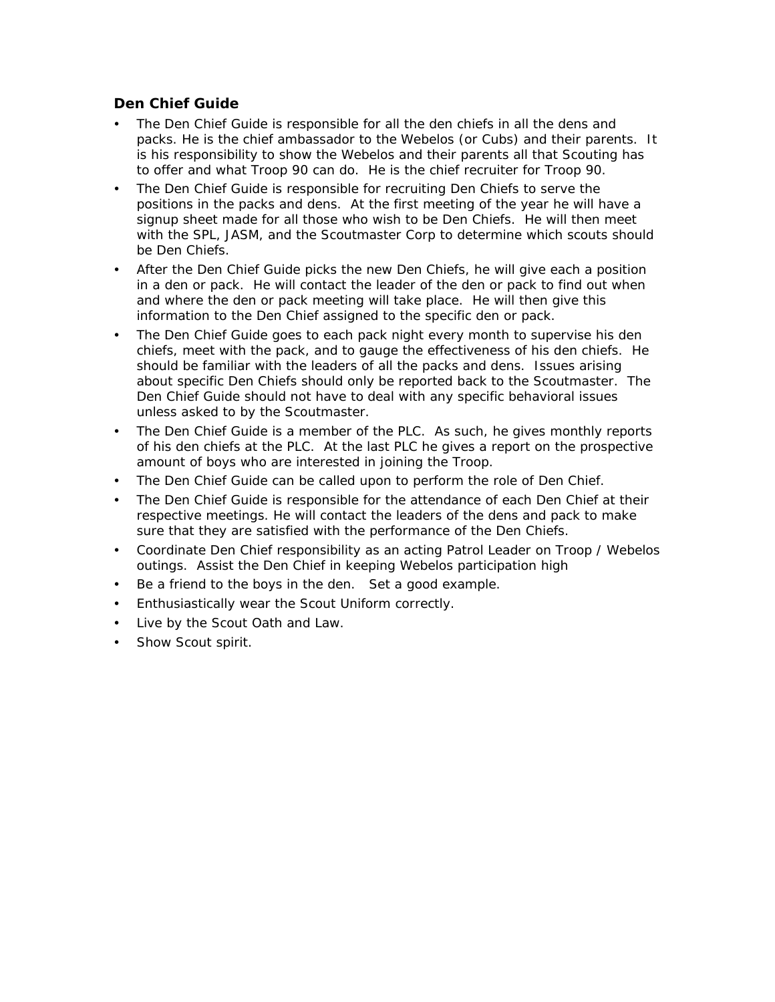#### **Den Chief Guide**

- The Den Chief Guide is responsible for all the den chiefs in all the dens and packs. He is the chief ambassador to the Webelos (or Cubs) and their parents. It is his responsibility to show the Webelos and their parents all that Scouting has to offer and what Troop 90 can do. He is the chief recruiter for Troop 90.
- The Den Chief Guide is responsible for recruiting Den Chiefs to serve the positions in the packs and dens. At the first meeting of the year he will have a signup sheet made for all those who wish to be Den Chiefs. He will then meet with the SPL, JASM, and the Scoutmaster Corp to determine which scouts should be Den Chiefs.
- After the Den Chief Guide picks the new Den Chiefs, he will give each a position in a den or pack. He will contact the leader of the den or pack to find out when and where the den or pack meeting will take place. He will then give this information to the Den Chief assigned to the specific den or pack.
- The Den Chief Guide goes to each pack night every month to supervise his den chiefs, meet with the pack, and to gauge the effectiveness of his den chiefs. He should be familiar with the leaders of all the packs and dens. Issues arising about specific Den Chiefs should only be reported back to the Scoutmaster. The Den Chief Guide should not have to deal with any specific behavioral issues unless asked to by the Scoutmaster.
- The Den Chief Guide is a member of the PLC. As such, he gives monthly reports of his den chiefs at the PLC. At the last PLC he gives a report on the prospective amount of boys who are interested in joining the Troop.
- The Den Chief Guide can be called upon to perform the role of Den Chief.
- The Den Chief Guide is responsible for the attendance of each Den Chief at their respective meetings. He will contact the leaders of the dens and pack to make sure that they are satisfied with the performance of the Den Chiefs.
- Coordinate Den Chief responsibility as an acting Patrol Leader on Troop / Webelos outings. Assist the Den Chief in keeping Webelos participation high
- Be a friend to the boys in the den. Set a good example.
- Enthusiastically wear the Scout Uniform correctly.
- Live by the Scout Oath and Law.
- Show Scout spirit.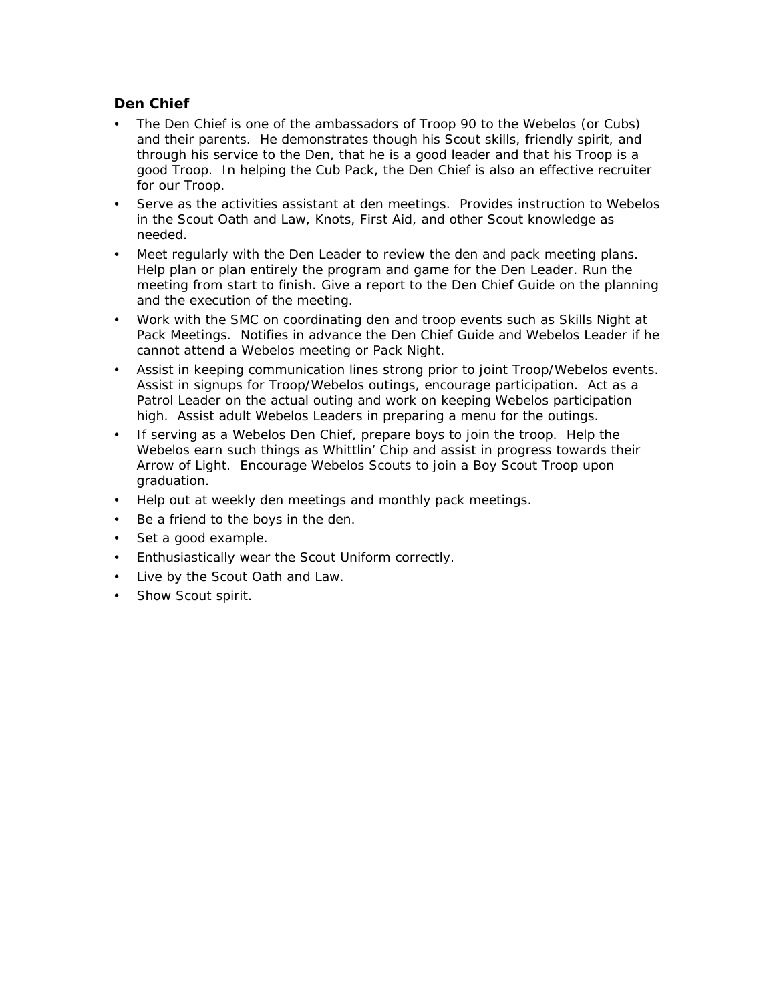#### **Den Chief**

- The Den Chief is one of the ambassadors of Troop 90 to the Webelos (or Cubs) and their parents. He demonstrates though his Scout skills, friendly spirit, and through his service to the Den, that he is a good leader and that his Troop is a good Troop. In helping the Cub Pack, the Den Chief is also an effective recruiter for our Troop.
- Serve as the activities assistant at den meetings. Provides instruction to Webelos in the Scout Oath and Law, Knots, First Aid, and other Scout knowledge as needed.
- Meet regularly with the Den Leader to review the den and pack meeting plans. Help plan or plan entirely the program and game for the Den Leader. Run the meeting from start to finish. Give a report to the Den Chief Guide on the planning and the execution of the meeting.
- Work with the SMC on coordinating den and troop events such as Skills Night at Pack Meetings. Notifies in advance the Den Chief Guide and Webelos Leader if he cannot attend a Webelos meeting or Pack Night.
- Assist in keeping communication lines strong prior to joint Troop/Webelos events. Assist in signups for Troop/Webelos outings, encourage participation. Act as a Patrol Leader on the actual outing and work on keeping Webelos participation high. Assist adult Webelos Leaders in preparing a menu for the outings.
- If serving as a Webelos Den Chief, prepare boys to join the troop. Help the Webelos earn such things as Whittlin' Chip and assist in progress towards their Arrow of Light. Encourage Webelos Scouts to join a Boy Scout Troop upon graduation.
- Help out at weekly den meetings and monthly pack meetings.
- Be a friend to the boys in the den.
- Set a good example.
- Enthusiastically wear the Scout Uniform correctly.
- Live by the Scout Oath and Law.
- Show Scout spirit.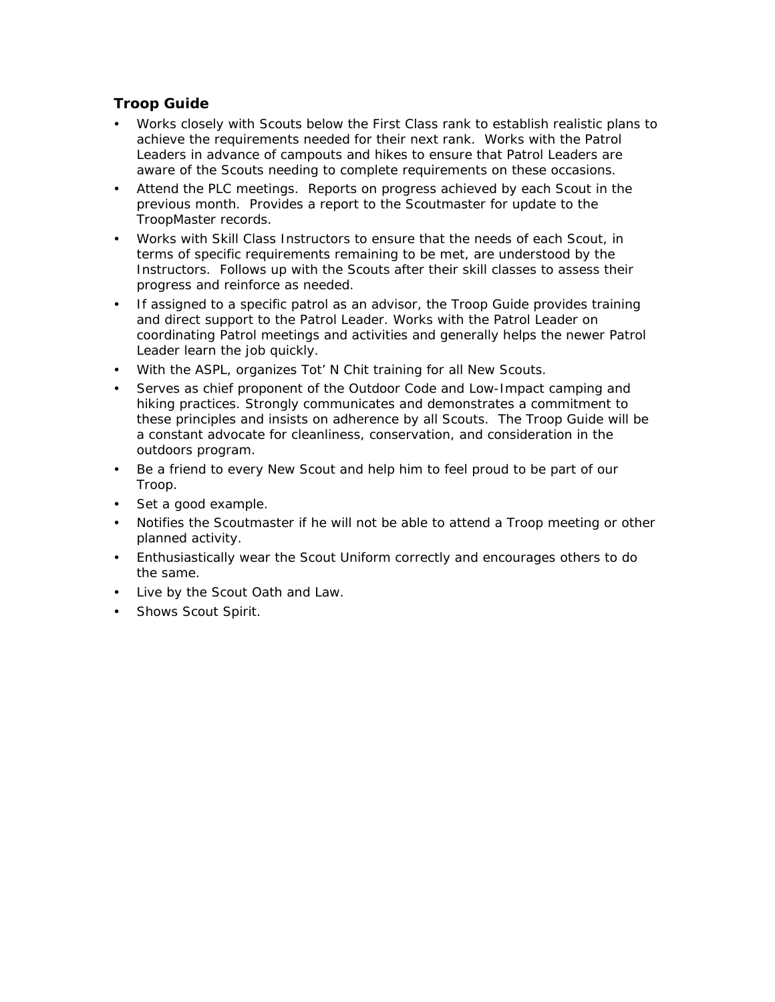#### **Troop Guide**

- Works closely with Scouts below the First Class rank to establish realistic plans to achieve the requirements needed for their next rank. Works with the Patrol Leaders in advance of campouts and hikes to ensure that Patrol Leaders are aware of the Scouts needing to complete requirements on these occasions.
- Attend the PLC meetings. Reports on progress achieved by each Scout in the previous month. Provides a report to the Scoutmaster for update to the TroopMaster records.
- Works with Skill Class Instructors to ensure that the needs of each Scout, in terms of specific requirements remaining to be met, are understood by the Instructors. Follows up with the Scouts after their skill classes to assess their progress and reinforce as needed.
- If assigned to a specific patrol as an advisor, the Troop Guide provides training and direct support to the Patrol Leader. Works with the Patrol Leader on coordinating Patrol meetings and activities and generally helps the newer Patrol Leader learn the job quickly.
- With the ASPL, organizes Tot' N Chit training for all New Scouts.
- Serves as chief proponent of the Outdoor Code and Low-Impact camping and hiking practices. Strongly communicates and demonstrates a commitment to these principles and insists on adherence by all Scouts. The Troop Guide will be a constant advocate for cleanliness, conservation, and consideration in the outdoors program.
- Be a friend to every New Scout and help him to feel proud to be part of our Troop.
- Set a good example.
- Notifies the Scoutmaster if he will not be able to attend a Troop meeting or other planned activity.
- Enthusiastically wear the Scout Uniform correctly and encourages others to do the same.
- Live by the Scout Oath and Law.
- Shows Scout Spirit.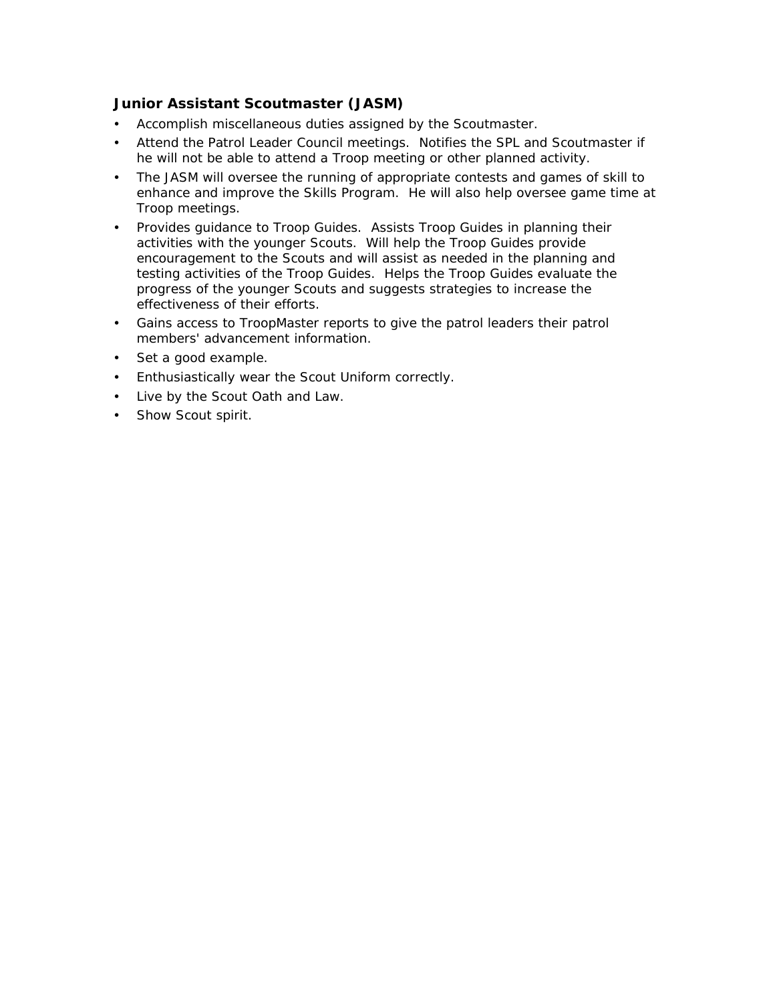## **Junior Assistant Scoutmaster (JASM)**

- Accomplish miscellaneous duties assigned by the Scoutmaster.
- Attend the Patrol Leader Council meetings. Notifies the SPL and Scoutmaster if he will not be able to attend a Troop meeting or other planned activity.
- The JASM will oversee the running of appropriate contests and games of skill to enhance and improve the Skills Program. He will also help oversee game time at Troop meetings.
- Provides guidance to Troop Guides. Assists Troop Guides in planning their activities with the younger Scouts. Will help the Troop Guides provide encouragement to the Scouts and will assist as needed in the planning and testing activities of the Troop Guides. Helps the Troop Guides evaluate the progress of the younger Scouts and suggests strategies to increase the effectiveness of their efforts.
- Gains access to TroopMaster reports to give the patrol leaders their patrol members' advancement information.
- Set a good example.
- Enthusiastically wear the Scout Uniform correctly.
- Live by the Scout Oath and Law.
- Show Scout spirit.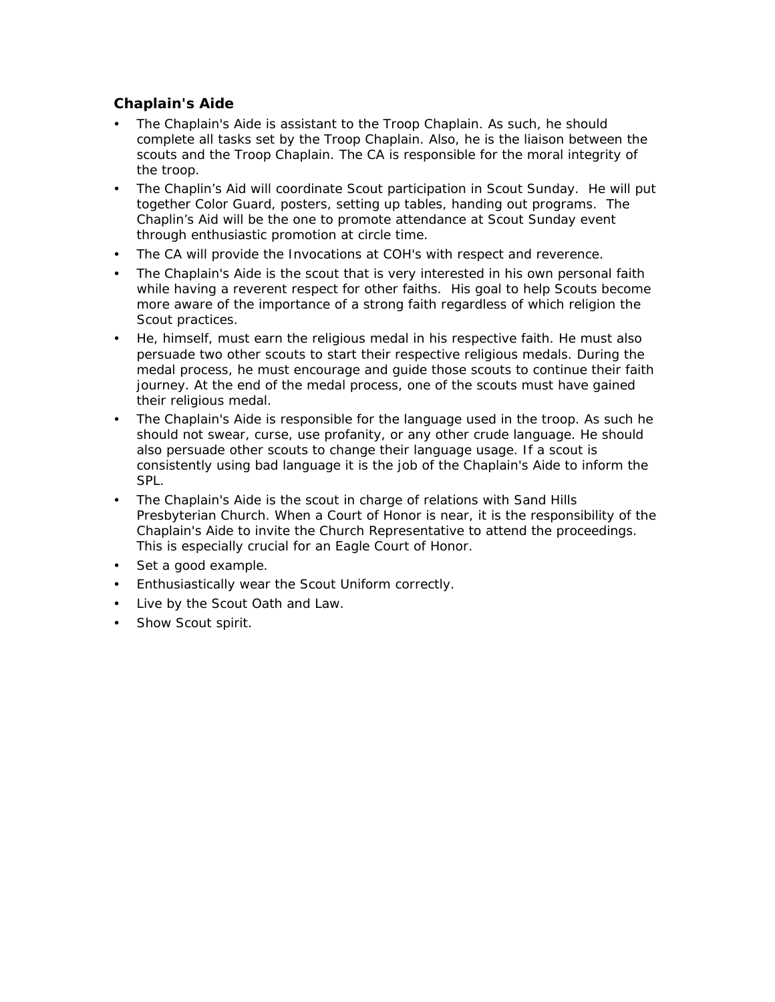## **Chaplain's Aide**

- The Chaplain's Aide is assistant to the Troop Chaplain. As such, he should complete all tasks set by the Troop Chaplain. Also, he is the liaison between the scouts and the Troop Chaplain. The CA is responsible for the moral integrity of the troop.
- The Chaplin's Aid will coordinate Scout participation in Scout Sunday. He will put together Color Guard, posters, setting up tables, handing out programs. The Chaplin's Aid will be the one to promote attendance at Scout Sunday event through enthusiastic promotion at circle time.
- The CA will provide the Invocations at COH's with respect and reverence.
- The Chaplain's Aide is the scout that is very interested in his own personal faith while having a reverent respect for other faiths. His goal to help Scouts become more aware of the importance of a strong faith regardless of which religion the Scout practices.
- He, himself, must earn the religious medal in his respective faith. He must also persuade two other scouts to start their respective religious medals. During the medal process, he must encourage and guide those scouts to continue their faith journey. At the end of the medal process, one of the scouts must have gained their religious medal.
- The Chaplain's Aide is responsible for the language used in the troop. As such he should not swear, curse, use profanity, or any other crude language. He should also persuade other scouts to change their language usage. If a scout is consistently using bad language it is the job of the Chaplain's Aide to inform the SPL.
- The Chaplain's Aide is the scout in charge of relations with Sand Hills Presbyterian Church. When a Court of Honor is near, it is the responsibility of the Chaplain's Aide to invite the Church Representative to attend the proceedings. This is especially crucial for an Eagle Court of Honor.
- Set a good example.
- Enthusiastically wear the Scout Uniform correctly.
- Live by the Scout Oath and Law.
- Show Scout spirit.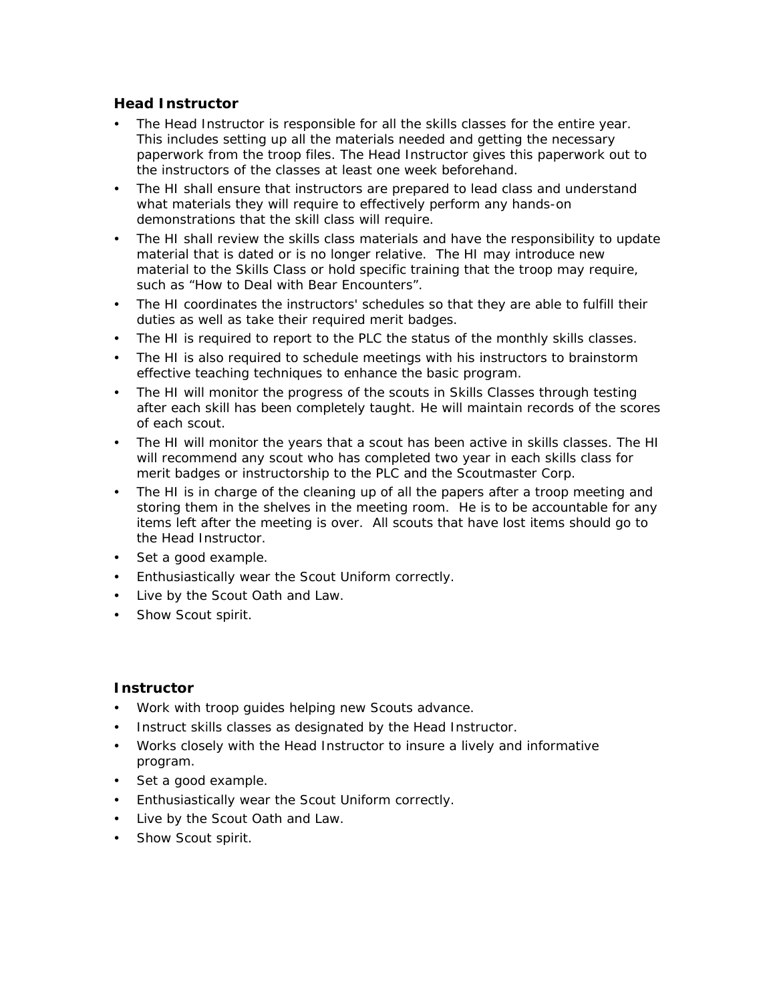#### **Head Instructor**

- The Head Instructor is responsible for all the skills classes for the entire year. This includes setting up all the materials needed and getting the necessary paperwork from the troop files. The Head Instructor gives this paperwork out to the instructors of the classes at least one week beforehand.
- The HI shall ensure that instructors are prepared to lead class and understand what materials they will require to effectively perform any hands-on demonstrations that the skill class will require.
- The HI shall review the skills class materials and have the responsibility to update material that is dated or is no longer relative. The HI may introduce new material to the Skills Class or hold specific training that the troop may require, such as "How to Deal with Bear Encounters".
- The HI coordinates the instructors' schedules so that they are able to fulfill their duties as well as take their required merit badges.
- The HI is required to report to the PLC the status of the monthly skills classes.
- The HI is also required to schedule meetings with his instructors to brainstorm effective teaching techniques to enhance the basic program.
- The HI will monitor the progress of the scouts in Skills Classes through testing after each skill has been completely taught. He will maintain records of the scores of each scout.
- The HI will monitor the years that a scout has been active in skills classes. The HI will recommend any scout who has completed two year in each skills class for merit badges or instructorship to the PLC and the Scoutmaster Corp.
- The HI is in charge of the cleaning up of all the papers after a troop meeting and storing them in the shelves in the meeting room. He is to be accountable for any items left after the meeting is over. All scouts that have lost items should go to the Head Instructor.
- Set a good example.
- Enthusiastically wear the Scout Uniform correctly.
- Live by the Scout Oath and Law.
- Show Scout spirit.

#### **Instructor**

- Work with troop guides helping new Scouts advance.
- Instruct skills classes as designated by the Head Instructor.
- Works closely with the Head Instructor to insure a lively and informative program.
- Set a good example.
- Enthusiastically wear the Scout Uniform correctly.
- Live by the Scout Oath and Law.
- Show Scout spirit.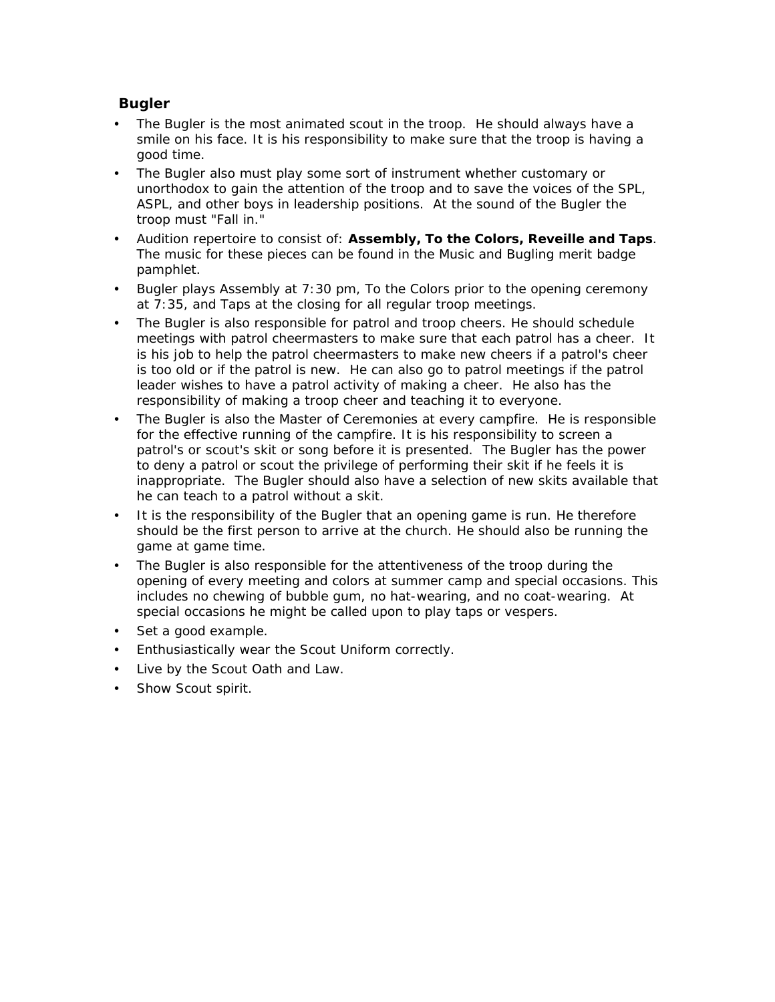## **Bugler**

- The Bugler is the most animated scout in the troop. He should always have a smile on his face. It is his responsibility to make sure that the troop is having a good time.
- The Bugler also must play some sort of instrument whether customary or unorthodox to gain the attention of the troop and to save the voices of the SPL, ASPL, and other boys in leadership positions. At the sound of the Bugler the troop must "Fall in."
- Audition repertoire to consist of: *Assembly, To the Colors, Reveille and Taps*. The music for these pieces can be found in the Music and Bugling merit badge pamphlet.
- Bugler plays Assembly at 7:30 pm, To the Colors prior to the opening ceremony at 7:35, and Taps at the closing for all regular troop meetings.
- The Bugler is also responsible for patrol and troop cheers. He should schedule meetings with patrol cheermasters to make sure that each patrol has a cheer. It is his job to help the patrol cheermasters to make new cheers if a patrol's cheer is too old or if the patrol is new. He can also go to patrol meetings if the patrol leader wishes to have a patrol activity of making a cheer. He also has the responsibility of making a troop cheer and teaching it to everyone.
- The Bugler is also the Master of Ceremonies at every campfire. He is responsible for the effective running of the campfire. It is his responsibility to screen a patrol's or scout's skit or song before it is presented. The Bugler has the power to deny a patrol or scout the privilege of performing their skit if he feels it is inappropriate. The Bugler should also have a selection of new skits available that he can teach to a patrol without a skit.
- It is the responsibility of the Bugler that an opening game is run. He therefore should be the first person to arrive at the church. He should also be running the game at game time.
- The Bugler is also responsible for the attentiveness of the troop during the opening of every meeting and colors at summer camp and special occasions. This includes no chewing of bubble gum, no hat-wearing, and no coat-wearing. At special occasions he might be called upon to play taps or vespers.
- Set a good example.
- Enthusiastically wear the Scout Uniform correctly.
- Live by the Scout Oath and Law.
- Show Scout spirit.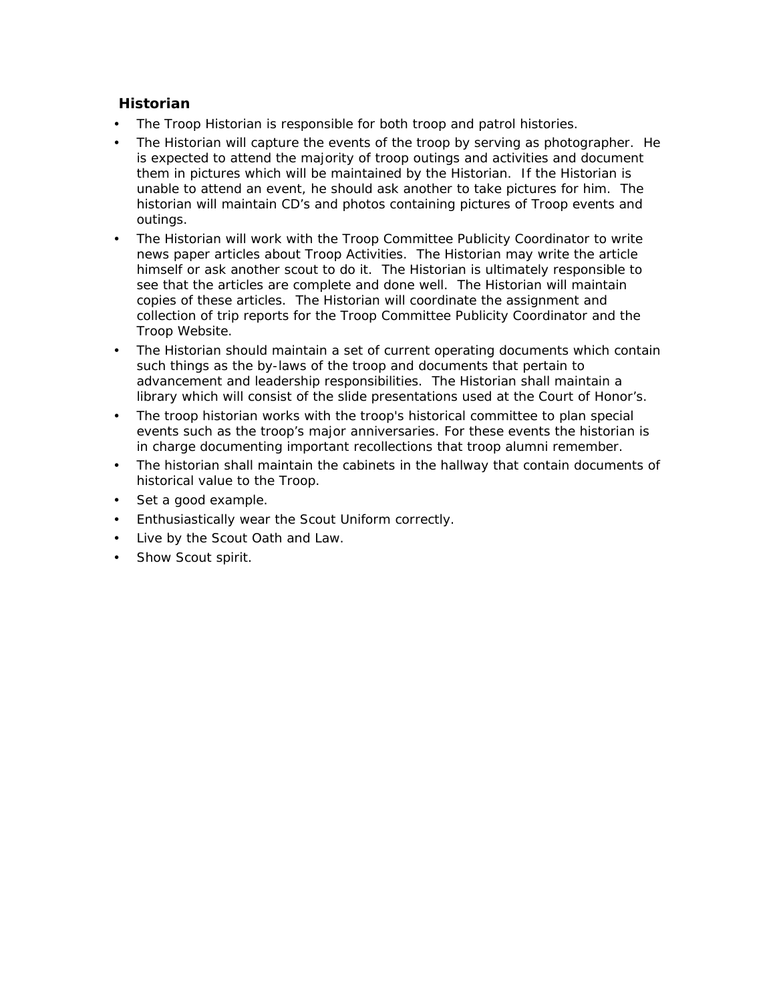## **Historian**

- The Troop Historian is responsible for both troop and patrol histories.
- The Historian will capture the events of the troop by serving as photographer. He is expected to attend the majority of troop outings and activities and document them in pictures which will be maintained by the Historian. If the Historian is unable to attend an event, he should ask another to take pictures for him. The historian will maintain CD's and photos containing pictures of Troop events and outings.
- The Historian will work with the Troop Committee Publicity Coordinator to write news paper articles about Troop Activities. The Historian may write the article himself or ask another scout to do it. The Historian is ultimately responsible to see that the articles are complete and done well. The Historian will maintain copies of these articles. The Historian will coordinate the assignment and collection of trip reports for the Troop Committee Publicity Coordinator and the Troop Website.
- The Historian should maintain a set of current operating documents which contain such things as the by-laws of the troop and documents that pertain to advancement and leadership responsibilities. The Historian shall maintain a library which will consist of the slide presentations used at the Court of Honor's.
- The troop historian works with the troop's historical committee to plan special events such as the troop's major anniversaries. For these events the historian is in charge documenting important recollections that troop alumni remember.
- The historian shall maintain the cabinets in the hallway that contain documents of historical value to the Troop.
- Set a good example.
- Enthusiastically wear the Scout Uniform correctly.
- Live by the Scout Oath and Law.
- Show Scout spirit.